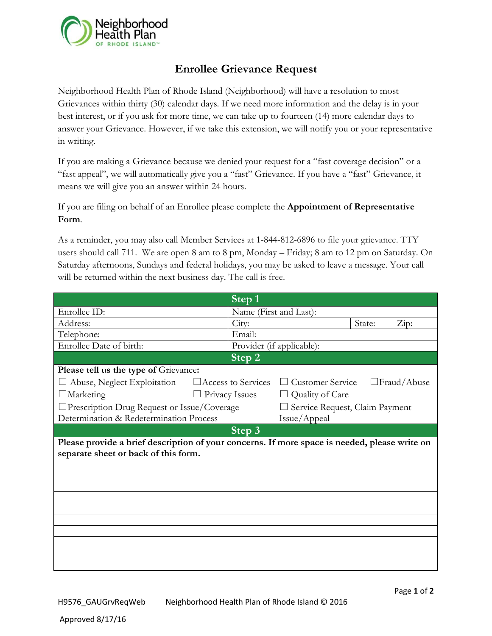

## **Enrollee Grievance Request**

Neighborhood Health Plan of Rhode Island (Neighborhood) will have a resolution to most Grievances within thirty (30) calendar days. If we need more information and the delay is in your best interest, or if you ask for more time, we can take up to fourteen (14) more calendar days to answer your Grievance. However, if we take this extension, we will notify you or your representative in writing.

If you are making a Grievance because we denied your request for a "fast coverage decision" or a "fast appeal", we will automatically give you a "fast" Grievance. If you have a "fast" Grievance, it means we will give you an answer within 24 hours.

If you are filing on behalf of an Enrollee please complete the **Appointment of Representative Form**.

As a reminder, you may also call Member Services at 1-844-812-6896 to file your grievance. TTY users should call [711.](tel:1-866-765-0055) We are open 8 am to 8 pm, Monday – Friday; 8 am to 12 pm on Saturday. On Saturday afternoons, Sundays and federal holidays, you may be asked to leave a message. Your call will be returned within the next business day. The call is free.

|                                                                                                                                       |                           | $\overline{\text{Step 1}}$ |                                |        |                       |  |
|---------------------------------------------------------------------------------------------------------------------------------------|---------------------------|----------------------------|--------------------------------|--------|-----------------------|--|
| Enrollee ID:                                                                                                                          |                           | Name (First and Last):     |                                |        |                       |  |
| Address:                                                                                                                              |                           | City:                      |                                | State: | $\operatorname{Zip:}$ |  |
| Telephone:                                                                                                                            |                           | Email:                     |                                |        |                       |  |
| Enrollee Date of birth:                                                                                                               |                           | Provider (if applicable):  |                                |        |                       |  |
| Step 2                                                                                                                                |                           |                            |                                |        |                       |  |
| Please tell us the type of Grievance:                                                                                                 |                           |                            |                                |        |                       |  |
| Abuse, Neglect Exploitation                                                                                                           | $\Box$ Access to Services |                            | <b>Customer Service</b>        |        | $\Box$ Fraud/Abuse    |  |
| $\Box$ Marketing                                                                                                                      | $\Box$ Privacy Issues     |                            | Quality of Care                |        |                       |  |
| $\Box$ Prescription Drug Request or Issue/Coverage                                                                                    |                           |                            | Service Request, Claim Payment |        |                       |  |
| Determination & Redetermination Process                                                                                               |                           |                            | Issue/Appeal                   |        |                       |  |
|                                                                                                                                       |                           | Step 3                     |                                |        |                       |  |
| Please provide a brief description of your concerns. If more space is needed, please write on<br>separate sheet or back of this form. |                           |                            |                                |        |                       |  |
|                                                                                                                                       |                           |                            |                                |        |                       |  |
|                                                                                                                                       |                           |                            |                                |        |                       |  |
|                                                                                                                                       |                           |                            |                                |        |                       |  |
|                                                                                                                                       |                           |                            |                                |        |                       |  |
|                                                                                                                                       |                           |                            |                                |        |                       |  |
|                                                                                                                                       |                           |                            |                                |        |                       |  |
|                                                                                                                                       |                           |                            |                                |        |                       |  |